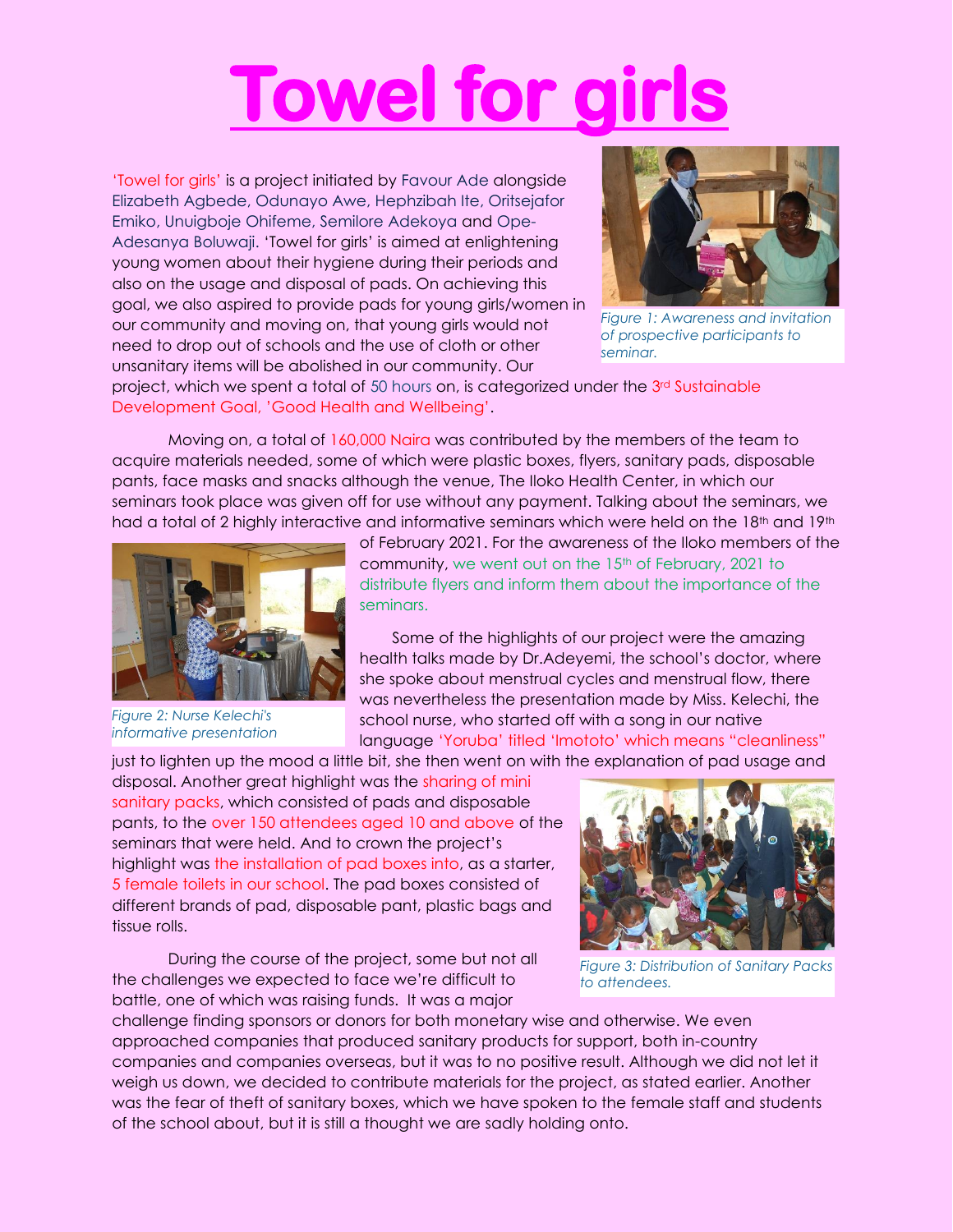## **Towel for girl**

'Towel for girls' is a project initiated by Favour Ade alongside Elizabeth Agbede, Odunayo Awe, Hephzibah Ite, Oritsejafor Emiko, Unuigboje Ohifeme, Semilore Adekoya and Ope-Adesanya Boluwaji. 'Towel for girls' is aimed at enlightening young women about their hygiene during their periods and also on the usage and disposal of pads. On achieving this goal, we also aspired to provide pads for young girls/women in our community and moving on, that young girls would not need to drop out of schools and the use of cloth or other unsanitary items will be abolished in our community. Our



*Figure 1: Awareness and invitation of prospective participants to seminar.*

project, which we spent a total of 50 hours on, is categorized under the  $3<sup>rd</sup>$  Sustainable Development Goal, 'Good Health and Wellbeing'.

Moving on, a total of 160,000 Naira was contributed by the members of the team to acquire materials needed, some of which were plastic boxes, flyers, sanitary pads, disposable pants, face masks and snacks although the venue, The Iloko Health Center, in which our seminars took place was given off for use without any payment. Talking about the seminars, we had a total of 2 highly interactive and informative seminars which were held on the 18<sup>th</sup> and 19<sup>th</sup>



*Figure 2: Nurse Kelechi's informative presentation*

of February 2021. For the awareness of the Iloko members of the community, we went out on the 15<sup>th</sup> of February, 2021 to distribute flyers and inform them about the importance of the seminars.

Some of the highlights of our project were the amazing health talks made by Dr.Adeyemi, the school's doctor, where she spoke about menstrual cycles and menstrual flow, there was nevertheless the presentation made by Miss. Kelechi, the school nurse, who started off with a song in our native language 'Yoruba' titled 'Imototo' which means "cleanliness"

just to lighten up the mood a little bit, she then went on with the explanation of pad usage and

disposal. Another great highlight was the sharing of mini sanitary packs, which consisted of pads and disposable pants, to the over 150 attendees aged 10 and above of the seminars that were held. And to crown the project's highlight was the installation of pad boxes into, as a starter, 5 female toilets in our school. The pad boxes consisted of different brands of pad, disposable pant, plastic bags and tissue rolls.

During the course of the project, some but not all the challenges we expected to face we're difficult to battle, one of which was raising funds. It was a major



*Figure 3: Distribution of Sanitary Packs to attendees.*

challenge finding sponsors or donors for both monetary wise and otherwise. We even approached companies that produced sanitary products for support, both in-country companies and companies overseas, but it was to no positive result. Although we did not let it weigh us down, we decided to contribute materials for the project, as stated earlier. Another was the fear of theft of sanitary boxes, which we have spoken to the female staff and students of the school about, but it is still a thought we are sadly holding onto.